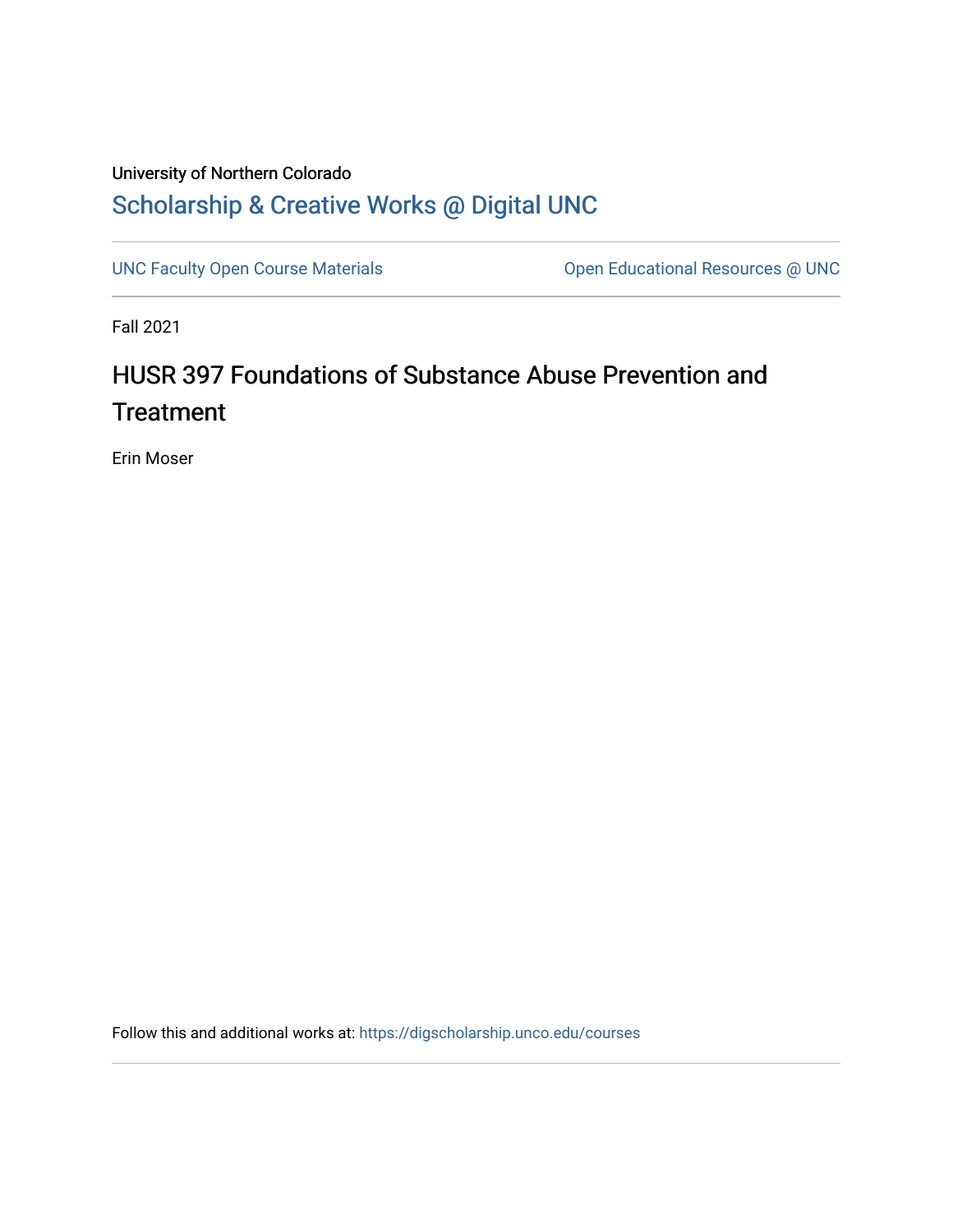## University of Northern Colorado [Scholarship & Creative Works @ Digital UNC](https://digscholarship.unco.edu/)

[UNC Faculty Open Course Materials](https://digscholarship.unco.edu/courses) [Open Educational Resources @ UNC](https://digscholarship.unco.edu/oer) 

Fall 2021

# HUSR 397 Foundations of Substance Abuse Prevention and **Treatment**

Erin Moser

Follow this and additional works at: [https://digscholarship.unco.edu/courses](https://digscholarship.unco.edu/courses?utm_source=digscholarship.unco.edu%2Fcourses%2F23&utm_medium=PDF&utm_campaign=PDFCoverPages)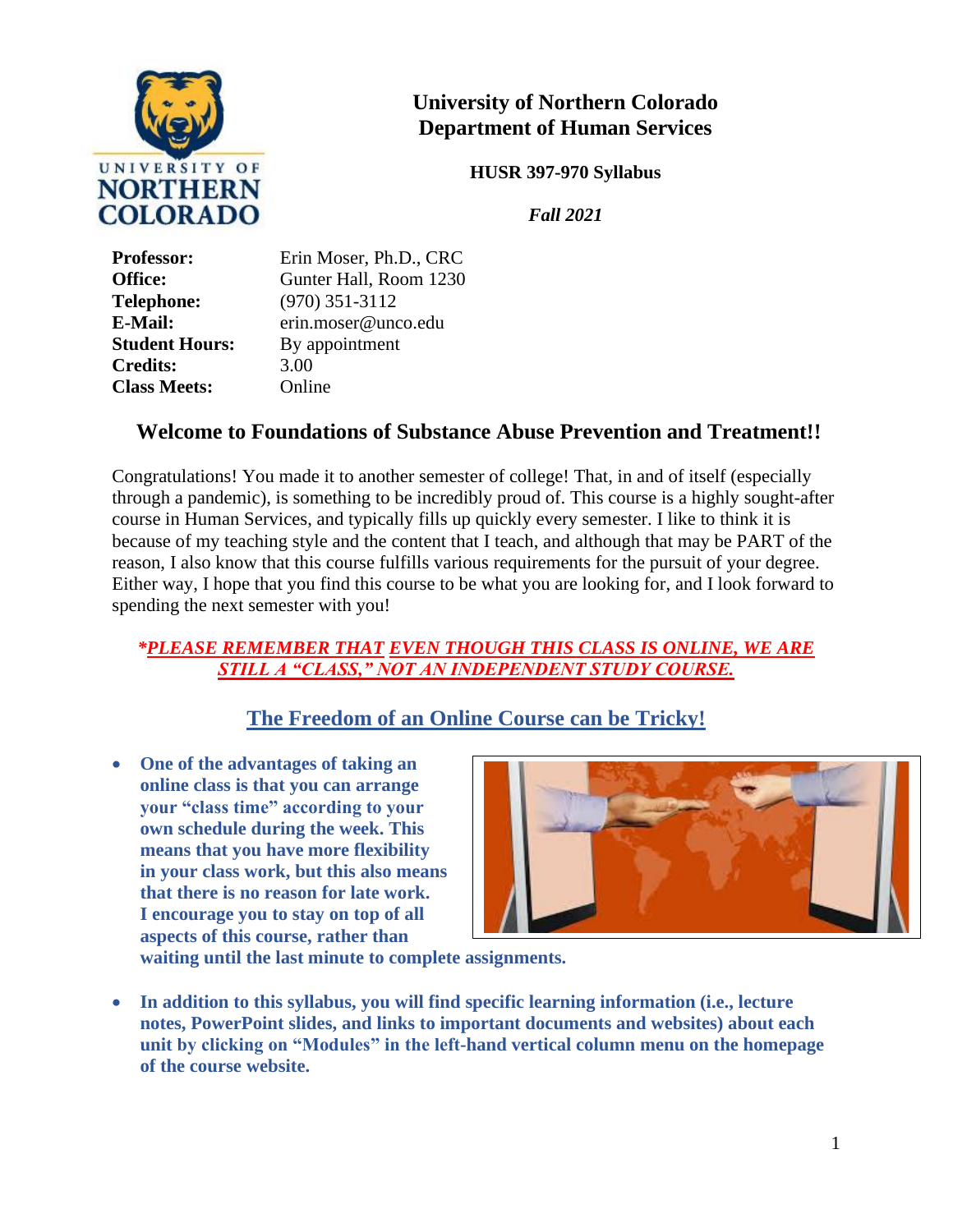

## **University of Northern Colorado Department of Human Services**

**HUSR 397-970 Syllabus**

*Fall 2021*

| <b>Professor:</b>     | Erin Moser, Ph.D., CRC |
|-----------------------|------------------------|
| <b>Office:</b>        | Gunter Hall, Room 1230 |
| <b>Telephone:</b>     | $(970)$ 351-3112       |
| <b>E-Mail:</b>        | erin.moser@unco.edu    |
| <b>Student Hours:</b> | By appointment         |
| <b>Credits:</b>       | 3.00                   |
| <b>Class Meets:</b>   | Online                 |

## **Welcome to Foundations of Substance Abuse Prevention and Treatment!!**

Congratulations! You made it to another semester of college! That, in and of itself (especially through a pandemic), is something to be incredibly proud of. This course is a highly sought-after course in Human Services, and typically fills up quickly every semester. I like to think it is because of my teaching style and the content that I teach, and although that may be PART of the reason, I also know that this course fulfills various requirements for the pursuit of your degree. Either way, I hope that you find this course to be what you are looking for, and I look forward to spending the next semester with you!

#### *\*PLEASE REMEMBER THAT EVEN THOUGH THIS CLASS IS ONLINE, WE ARE STILL A "CLASS," NOT AN INDEPENDENT STUDY COURSE.*

## **The Freedom of an Online Course can be Tricky!**

• **One of the advantages of taking an online class is that you can arrange your "class time" according to your own schedule during the week. This means that you have more flexibility in your class work, but this also means that there is no reason for late work. I encourage you to stay on top of all aspects of this course, rather than** 



**waiting until the last minute to complete assignments.** 

• **In addition to this syllabus, you will find specific learning information (i.e., lecture notes, PowerPoint slides, and links to important documents and websites) about each unit by clicking on "Modules" in the left-hand vertical column menu on the homepage of the course website.**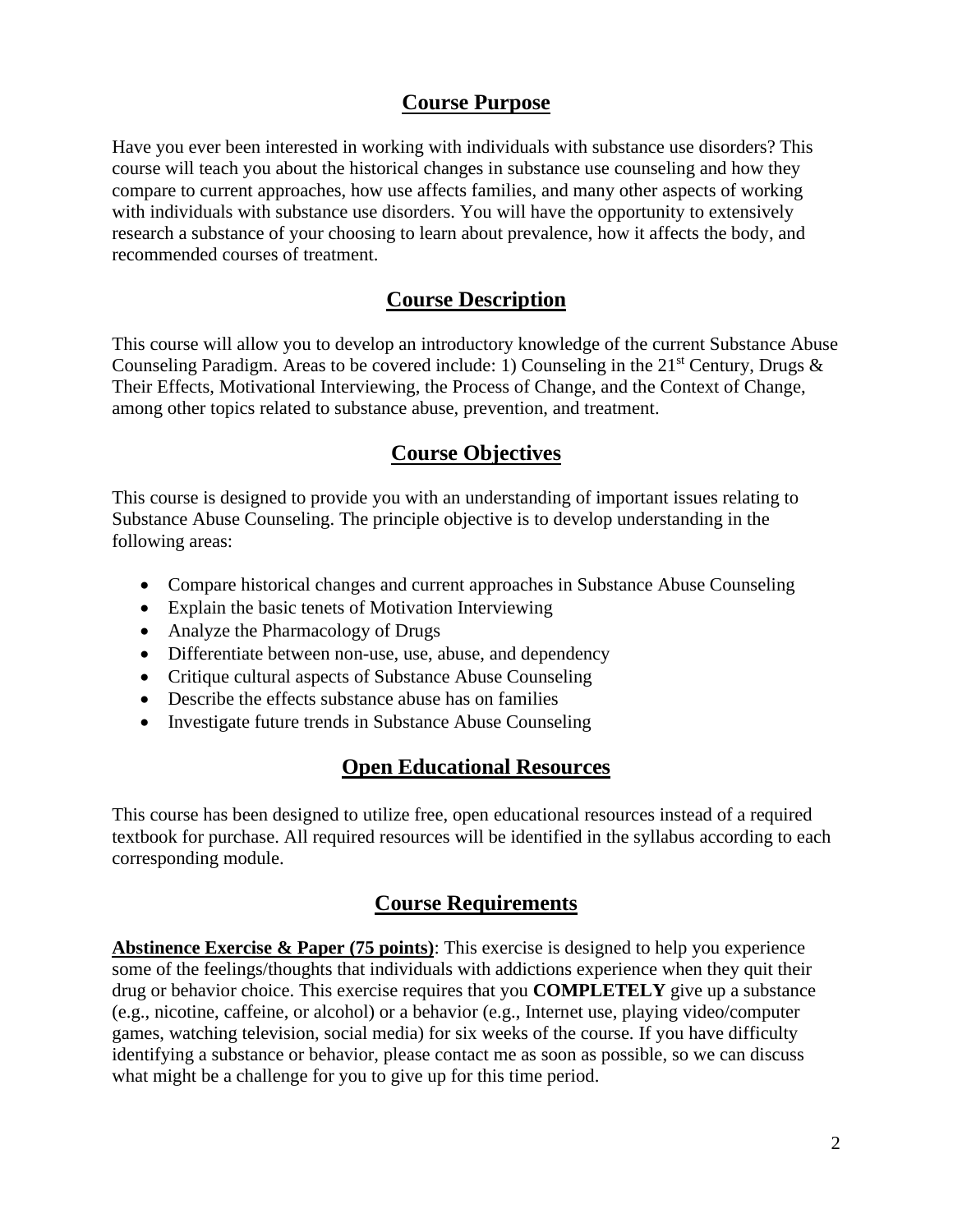## **Course Purpose**

Have you ever been interested in working with individuals with substance use disorders? This course will teach you about the historical changes in substance use counseling and how they compare to current approaches, how use affects families, and many other aspects of working with individuals with substance use disorders. You will have the opportunity to extensively research a substance of your choosing to learn about prevalence, how it affects the body, and recommended courses of treatment.

## **Course Description**

This course will allow you to develop an introductory knowledge of the current Substance Abuse Counseling Paradigm. Areas to be covered include: 1) Counseling in the  $21<sup>st</sup>$  Century, Drugs  $\&$ Their Effects, Motivational Interviewing, the Process of Change, and the Context of Change, among other topics related to substance abuse, prevention, and treatment.

## **Course Objectives**

This course is designed to provide you with an understanding of important issues relating to Substance Abuse Counseling. The principle objective is to develop understanding in the following areas:

- Compare historical changes and current approaches in Substance Abuse Counseling
- Explain the basic tenets of Motivation Interviewing
- Analyze the Pharmacology of Drugs
- Differentiate between non-use, use, abuse, and dependency
- Critique cultural aspects of Substance Abuse Counseling
- Describe the effects substance abuse has on families
- Investigate future trends in Substance Abuse Counseling

### **Open Educational Resources**

This course has been designed to utilize free, open educational resources instead of a required textbook for purchase. All required resources will be identified in the syllabus according to each corresponding module.

## **Course Requirements**

**Abstinence Exercise & Paper (75 points)**: This exercise is designed to help you experience some of the feelings/thoughts that individuals with addictions experience when they quit their drug or behavior choice. This exercise requires that you **COMPLETELY** give up a substance (e.g., nicotine, caffeine, or alcohol) or a behavior (e.g., Internet use, playing video/computer games, watching television, social media) for six weeks of the course. If you have difficulty identifying a substance or behavior, please contact me as soon as possible, so we can discuss what might be a challenge for you to give up for this time period.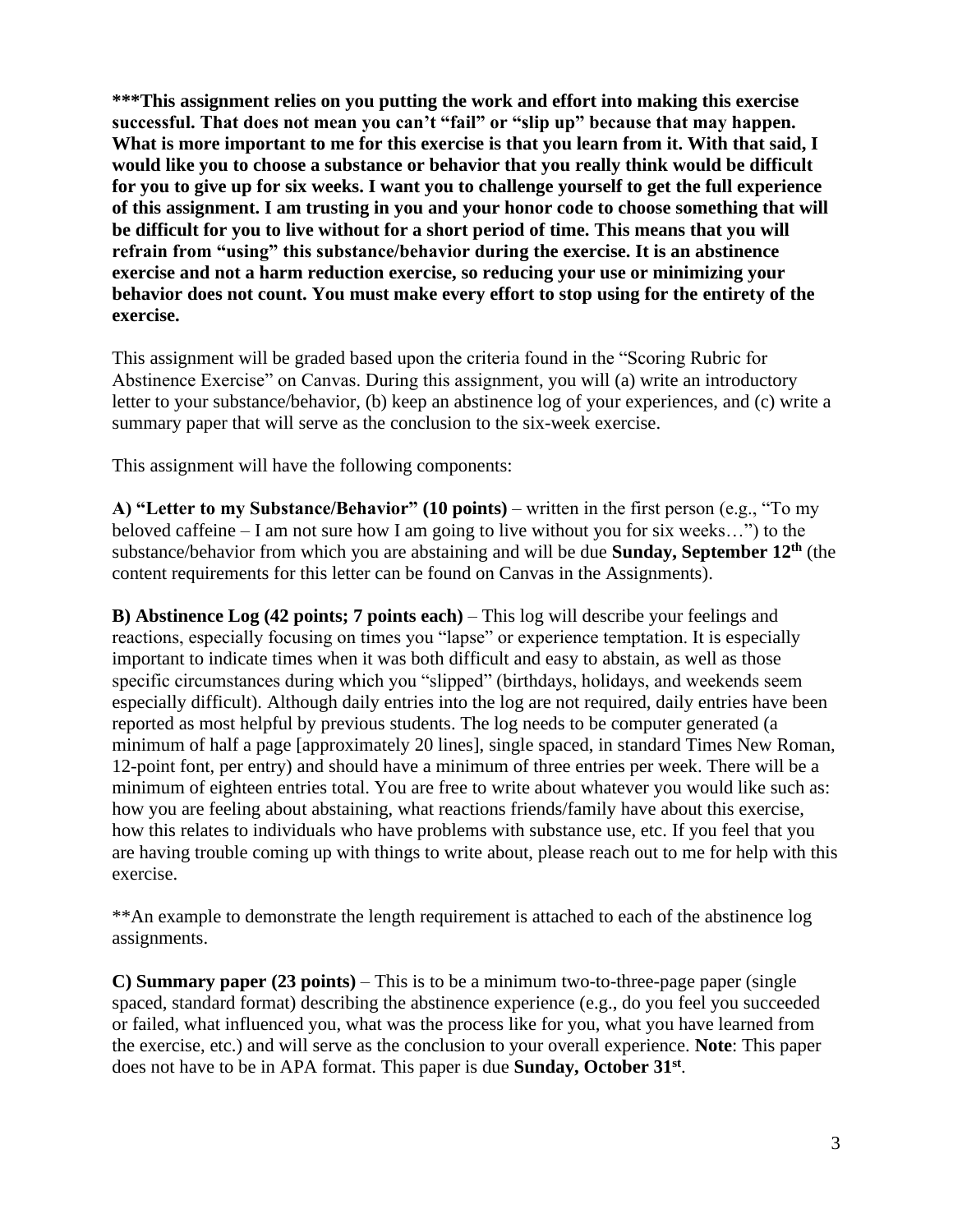**\*\*\*This assignment relies on you putting the work and effort into making this exercise successful. That does not mean you can't "fail" or "slip up" because that may happen. What is more important to me for this exercise is that you learn from it. With that said, I would like you to choose a substance or behavior that you really think would be difficult for you to give up for six weeks. I want you to challenge yourself to get the full experience of this assignment. I am trusting in you and your honor code to choose something that will be difficult for you to live without for a short period of time. This means that you will refrain from "using" this substance/behavior during the exercise. It is an abstinence exercise and not a harm reduction exercise, so reducing your use or minimizing your behavior does not count. You must make every effort to stop using for the entirety of the exercise.**

This assignment will be graded based upon the criteria found in the "Scoring Rubric for Abstinence Exercise" on Canvas. During this assignment, you will (a) write an introductory letter to your substance/behavior, (b) keep an abstinence log of your experiences, and (c) write a summary paper that will serve as the conclusion to the six-week exercise.

This assignment will have the following components:

**A) "Letter to my Substance/Behavior" (10 points)** – written in the first person (e.g., "To my beloved caffeine – I am not sure how I am going to live without you for six weeks…") to the substance/behavior from which you are abstaining and will be due **Sunday, September 12<sup>th</sup>** (the content requirements for this letter can be found on Canvas in the Assignments).

**B) Abstinence Log (42 points; 7 points each)** – This log will describe your feelings and reactions, especially focusing on times you "lapse" or experience temptation. It is especially important to indicate times when it was both difficult and easy to abstain, as well as those specific circumstances during which you "slipped" (birthdays, holidays, and weekends seem especially difficult). Although daily entries into the log are not required, daily entries have been reported as most helpful by previous students. The log needs to be computer generated (a minimum of half a page [approximately 20 lines], single spaced, in standard Times New Roman, 12-point font, per entry) and should have a minimum of three entries per week. There will be a minimum of eighteen entries total. You are free to write about whatever you would like such as: how you are feeling about abstaining, what reactions friends/family have about this exercise, how this relates to individuals who have problems with substance use, etc. If you feel that you are having trouble coming up with things to write about, please reach out to me for help with this exercise.

\*\*An example to demonstrate the length requirement is attached to each of the abstinence log assignments.

**C) Summary paper (23 points)** – This is to be a minimum two-to-three-page paper (single spaced, standard format) describing the abstinence experience (e.g., do you feel you succeeded or failed, what influenced you, what was the process like for you, what you have learned from the exercise, etc.) and will serve as the conclusion to your overall experience. **Note**: This paper does not have to be in APA format. This paper is due **Sunday, October 31**<sup>st</sup>.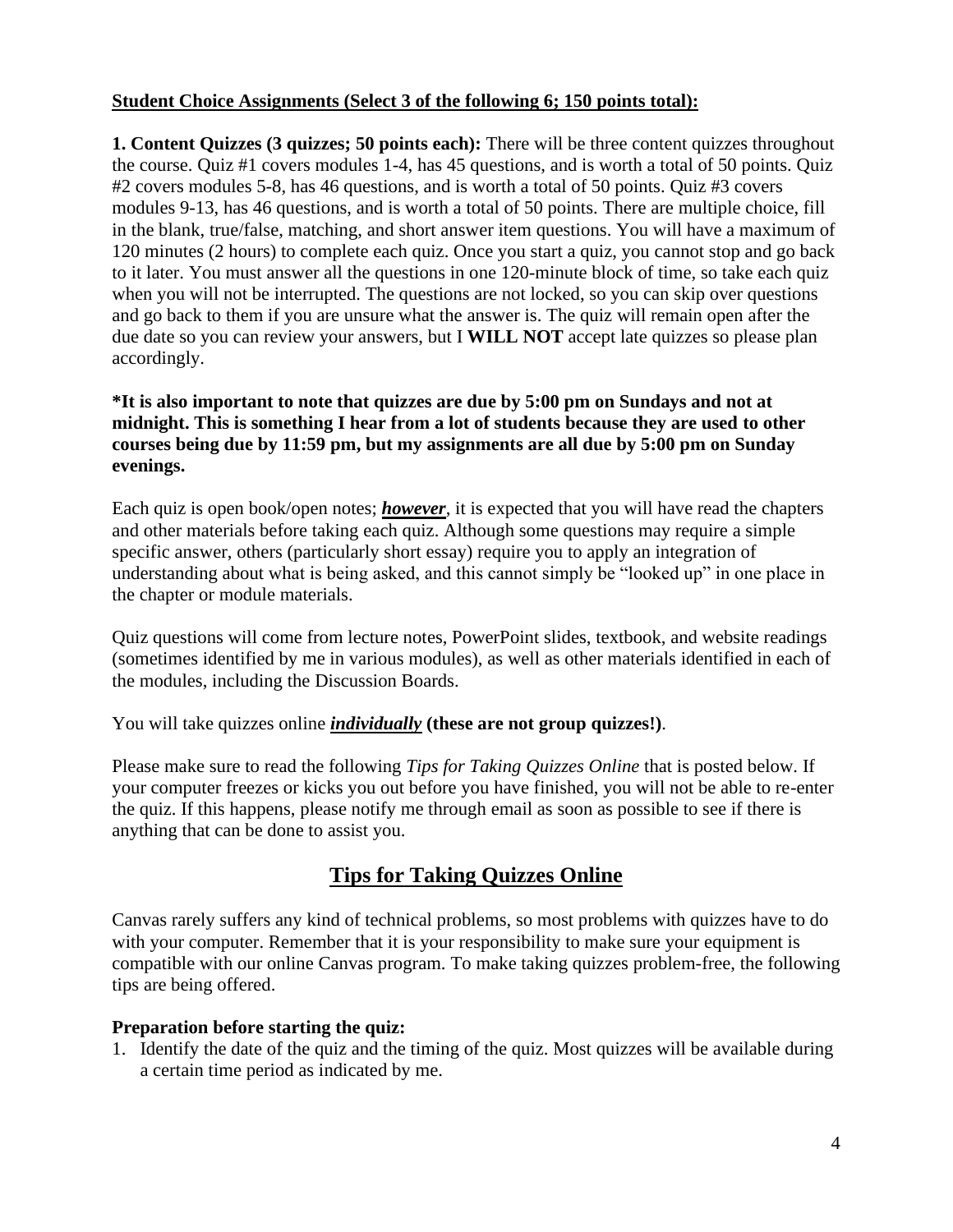#### **Student Choice Assignments (Select 3 of the following 6; 150 points total):**

**1. Content Quizzes (3 quizzes; 50 points each):** There will be three content quizzes throughout the course. Quiz #1 covers modules 1-4, has 45 questions, and is worth a total of 50 points. Quiz #2 covers modules 5-8, has 46 questions, and is worth a total of 50 points. Quiz #3 covers modules 9-13, has 46 questions, and is worth a total of 50 points. There are multiple choice, fill in the blank, true/false, matching, and short answer item questions. You will have a maximum of 120 minutes (2 hours) to complete each quiz. Once you start a quiz, you cannot stop and go back to it later. You must answer all the questions in one 120-minute block of time, so take each quiz when you will not be interrupted. The questions are not locked, so you can skip over questions and go back to them if you are unsure what the answer is. The quiz will remain open after the due date so you can review your answers, but I **WILL NOT** accept late quizzes so please plan accordingly.

#### **\*It is also important to note that quizzes are due by 5:00 pm on Sundays and not at midnight. This is something I hear from a lot of students because they are used to other courses being due by 11:59 pm, but my assignments are all due by 5:00 pm on Sunday evenings.**

Each quiz is open book/open notes; *however*, it is expected that you will have read the chapters and other materials before taking each quiz. Although some questions may require a simple specific answer, others (particularly short essay) require you to apply an integration of understanding about what is being asked, and this cannot simply be "looked up" in one place in the chapter or module materials.

Quiz questions will come from lecture notes, PowerPoint slides, textbook, and website readings (sometimes identified by me in various modules), as well as other materials identified in each of the modules, including the Discussion Boards.

You will take quizzes online *individually* **(these are not group quizzes!)**.

Please make sure to read the following *Tips for Taking Quizzes Online* that is posted below. If your computer freezes or kicks you out before you have finished, you will not be able to re-enter the quiz. If this happens, please notify me through email as soon as possible to see if there is anything that can be done to assist you.

## **Tips for Taking Quizzes Online**

Canvas rarely suffers any kind of technical problems, so most problems with quizzes have to do with your computer. Remember that it is your responsibility to make sure your equipment is compatible with our online Canvas program. To make taking quizzes problem-free, the following tips are being offered.

#### **Preparation before starting the quiz:**

1. Identify the date of the quiz and the timing of the quiz. Most quizzes will be available during a certain time period as indicated by me.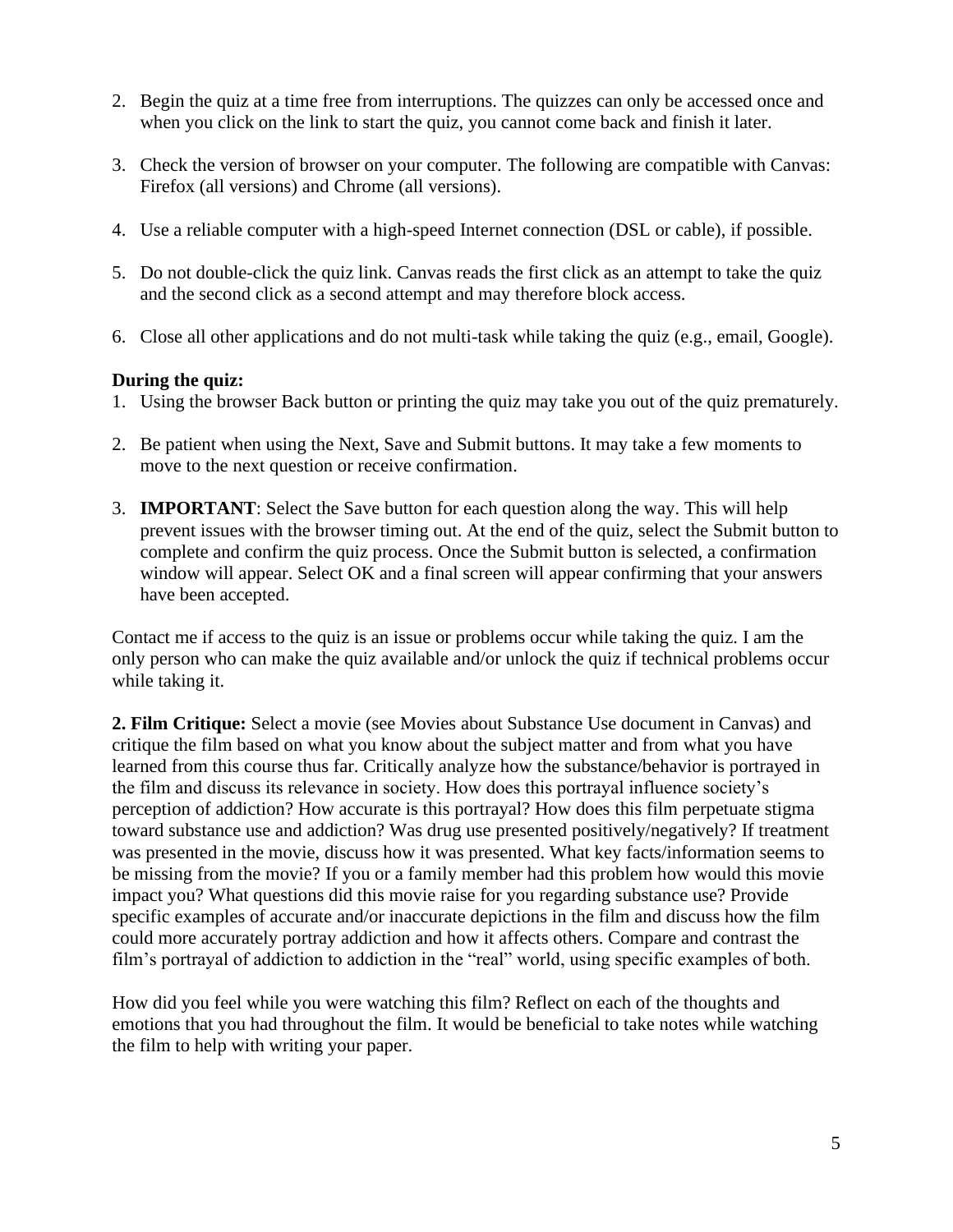- 2. Begin the quiz at a time free from interruptions. The quizzes can only be accessed once and when you click on the link to start the quiz, you cannot come back and finish it later.
- 3. Check the version of browser on your computer. The following are compatible with Canvas: Firefox (all versions) and Chrome (all versions).
- 4. Use a reliable computer with a high-speed Internet connection (DSL or cable), if possible.
- 5. Do not double-click the quiz link. Canvas reads the first click as an attempt to take the quiz and the second click as a second attempt and may therefore block access.
- 6. Close all other applications and do not multi-task while taking the quiz (e.g., email, Google).

#### **During the quiz:**

- 1. Using the browser Back button or printing the quiz may take you out of the quiz prematurely.
- 2. Be patient when using the Next, Save and Submit buttons. It may take a few moments to move to the next question or receive confirmation.
- 3. **IMPORTANT**: Select the Save button for each question along the way. This will help prevent issues with the browser timing out. At the end of the quiz, select the Submit button to complete and confirm the quiz process. Once the Submit button is selected, a confirmation window will appear. Select OK and a final screen will appear confirming that your answers have been accepted.

Contact me if access to the quiz is an issue or problems occur while taking the quiz. I am the only person who can make the quiz available and/or unlock the quiz if technical problems occur while taking it.

**2. Film Critique:** Select a movie (see Movies about Substance Use document in Canvas) and critique the film based on what you know about the subject matter and from what you have learned from this course thus far. Critically analyze how the substance/behavior is portrayed in the film and discuss its relevance in society. How does this portrayal influence society's perception of addiction? How accurate is this portrayal? How does this film perpetuate stigma toward substance use and addiction? Was drug use presented positively/negatively? If treatment was presented in the movie, discuss how it was presented. What key facts/information seems to be missing from the movie? If you or a family member had this problem how would this movie impact you? What questions did this movie raise for you regarding substance use? Provide specific examples of accurate and/or inaccurate depictions in the film and discuss how the film could more accurately portray addiction and how it affects others. Compare and contrast the film's portrayal of addiction to addiction in the "real" world, using specific examples of both.

How did you feel while you were watching this film? Reflect on each of the thoughts and emotions that you had throughout the film. It would be beneficial to take notes while watching the film to help with writing your paper.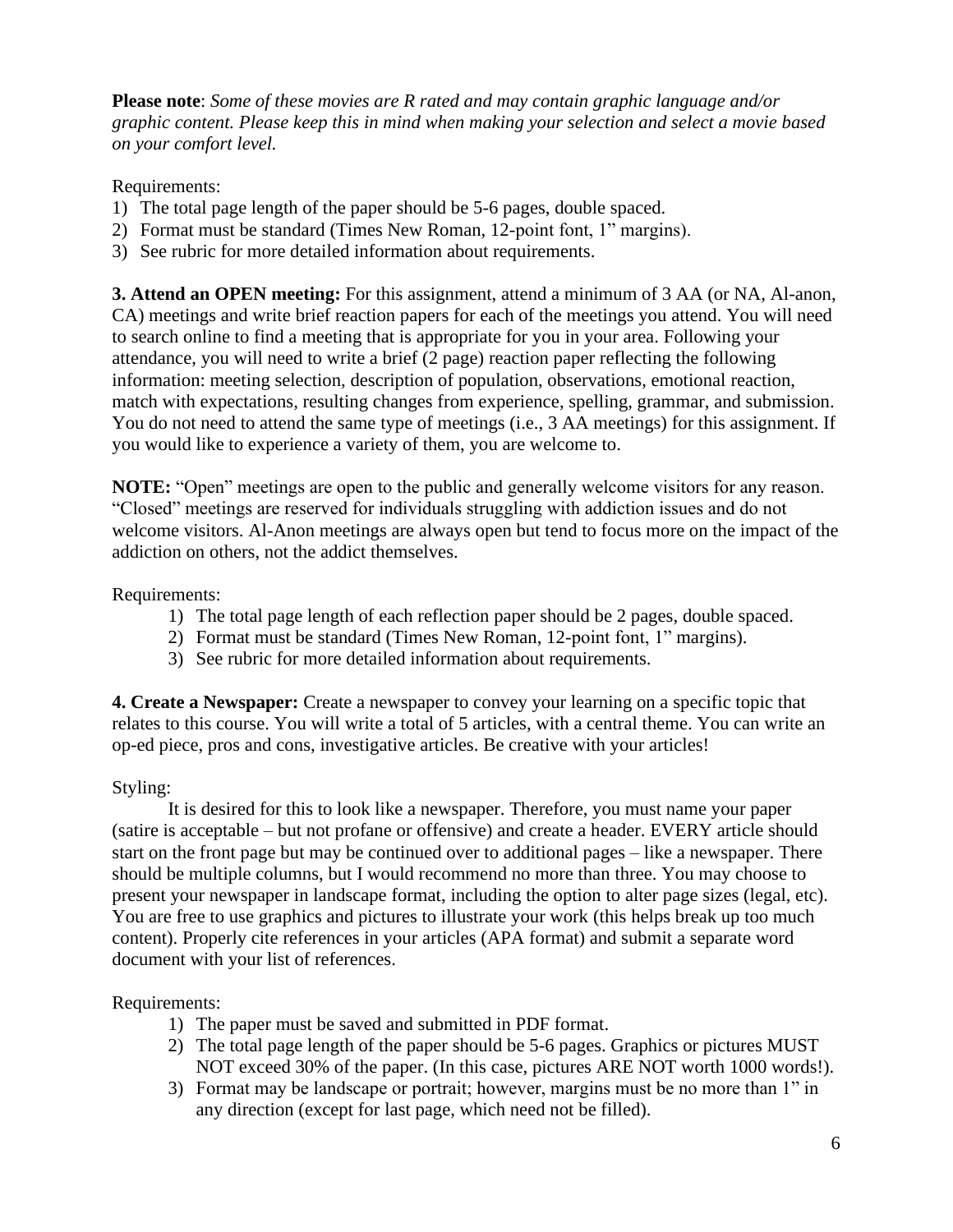**Please note**: *Some of these movies are R rated and may contain graphic language and/or graphic content. Please keep this in mind when making your selection and select a movie based on your comfort level.*

Requirements:

- 1) The total page length of the paper should be 5-6 pages, double spaced.
- 2) Format must be standard (Times New Roman, 12-point font, 1" margins).
- 3) See rubric for more detailed information about requirements.

**3. Attend an OPEN meeting:** For this assignment, attend a minimum of 3 AA (or NA, Al-anon, CA) meetings and write brief reaction papers for each of the meetings you attend. You will need to search online to find a meeting that is appropriate for you in your area. Following your attendance, you will need to write a brief (2 page) reaction paper reflecting the following information: meeting selection, description of population, observations, emotional reaction, match with expectations, resulting changes from experience, spelling, grammar, and submission. You do not need to attend the same type of meetings (i.e., 3 AA meetings) for this assignment. If you would like to experience a variety of them, you are welcome to.

**NOTE:** "Open" meetings are open to the public and generally welcome visitors for any reason. "Closed" meetings are reserved for individuals struggling with addiction issues and do not welcome visitors. Al-Anon meetings are always open but tend to focus more on the impact of the addiction on others, not the addict themselves.

Requirements:

- 1) The total page length of each reflection paper should be 2 pages, double spaced.
- 2) Format must be standard (Times New Roman, 12-point font, 1" margins).
- 3) See rubric for more detailed information about requirements.

**4. Create a Newspaper:** Create a newspaper to convey your learning on a specific topic that relates to this course. You will write a total of 5 articles, with a central theme. You can write an op-ed piece, pros and cons, investigative articles. Be creative with your articles!

#### Styling:

It is desired for this to look like a newspaper. Therefore, you must name your paper (satire is acceptable – but not profane or offensive) and create a header. EVERY article should start on the front page but may be continued over to additional pages – like a newspaper. There should be multiple columns, but I would recommend no more than three. You may choose to present your newspaper in landscape format, including the option to alter page sizes (legal, etc). You are free to use graphics and pictures to illustrate your work (this helps break up too much content). Properly cite references in your articles (APA format) and submit a separate word document with your list of references.

Requirements:

- 1) The paper must be saved and submitted in PDF format.
- 2) The total page length of the paper should be 5-6 pages. Graphics or pictures MUST NOT exceed 30% of the paper. (In this case, pictures ARE NOT worth 1000 words!).
- 3) Format may be landscape or portrait; however, margins must be no more than 1" in any direction (except for last page, which need not be filled).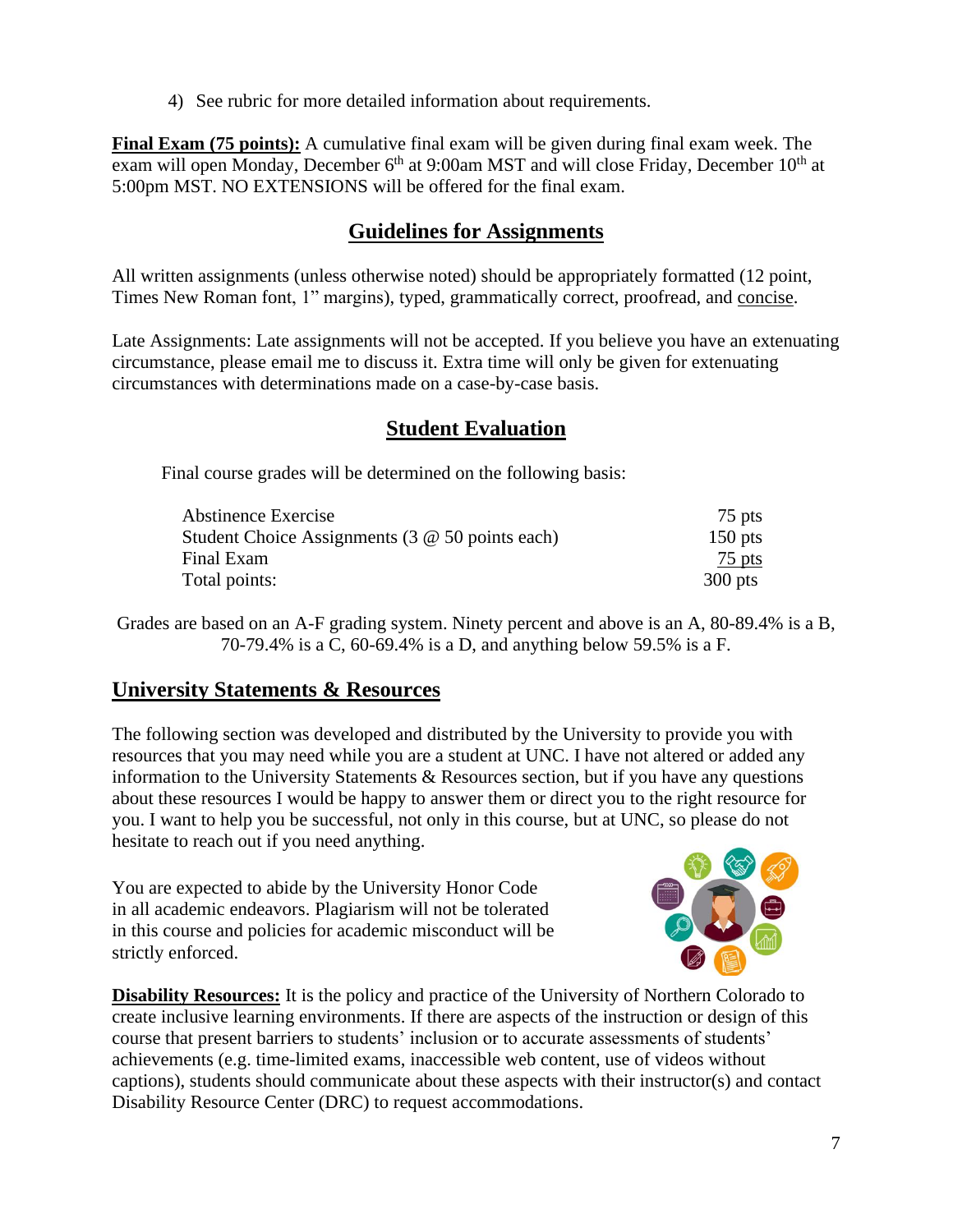4) See rubric for more detailed information about requirements.

**Final Exam (75 points):** A cumulative final exam will be given during final exam week. The exam will open Monday, December  $6<sup>th</sup>$  at 9:00am MST and will close Friday, December  $10<sup>th</sup>$  at 5:00pm MST. NO EXTENSIONS will be offered for the final exam.

## **Guidelines for Assignments**

All written assignments (unless otherwise noted) should be appropriately formatted (12 point, Times New Roman font, 1" margins), typed, grammatically correct, proofread, and concise.

Late Assignments: Late assignments will not be accepted. If you believe you have an extenuating circumstance, please email me to discuss it. Extra time will only be given for extenuating circumstances with determinations made on a case-by-case basis.

## **Student Evaluation**

Final course grades will be determined on the following basis:

| Abstinence Exercise                                    | 75 pts    |
|--------------------------------------------------------|-----------|
| Student Choice Assignments $(3 \t@ 50 \t points each)$ | $150$ pts |
| Final Exam                                             | 75 pts    |
| Total points:                                          | $300$ pts |

Grades are based on an A-F grading system. Ninety percent and above is an A, 80-89.4% is a B, 70-79.4% is a C, 60-69.4% is a D, and anything below 59.5% is a F.

### **University Statements & Resources**

The following section was developed and distributed by the University to provide you with resources that you may need while you are a student at UNC. I have not altered or added any information to the University Statements & Resources section, but if you have any questions about these resources I would be happy to answer them or direct you to the right resource for you. I want to help you be successful, not only in this course, but at UNC, so please do not hesitate to reach out if you need anything.

You are expected to abide by the University Honor Code in all academic endeavors. Plagiarism will not be tolerated in this course and policies for academic misconduct will be strictly enforced.



**Disability Resources:** It is the policy and practice of the University of Northern Colorado to create inclusive learning environments. If there are aspects of the instruction or design of this course that present barriers to students' inclusion or to accurate assessments of students' achievements (e.g. time-limited exams, inaccessible web content, use of videos without captions), students should communicate about these aspects with their instructor(s) and contact Disability Resource Center (DRC) to request accommodations.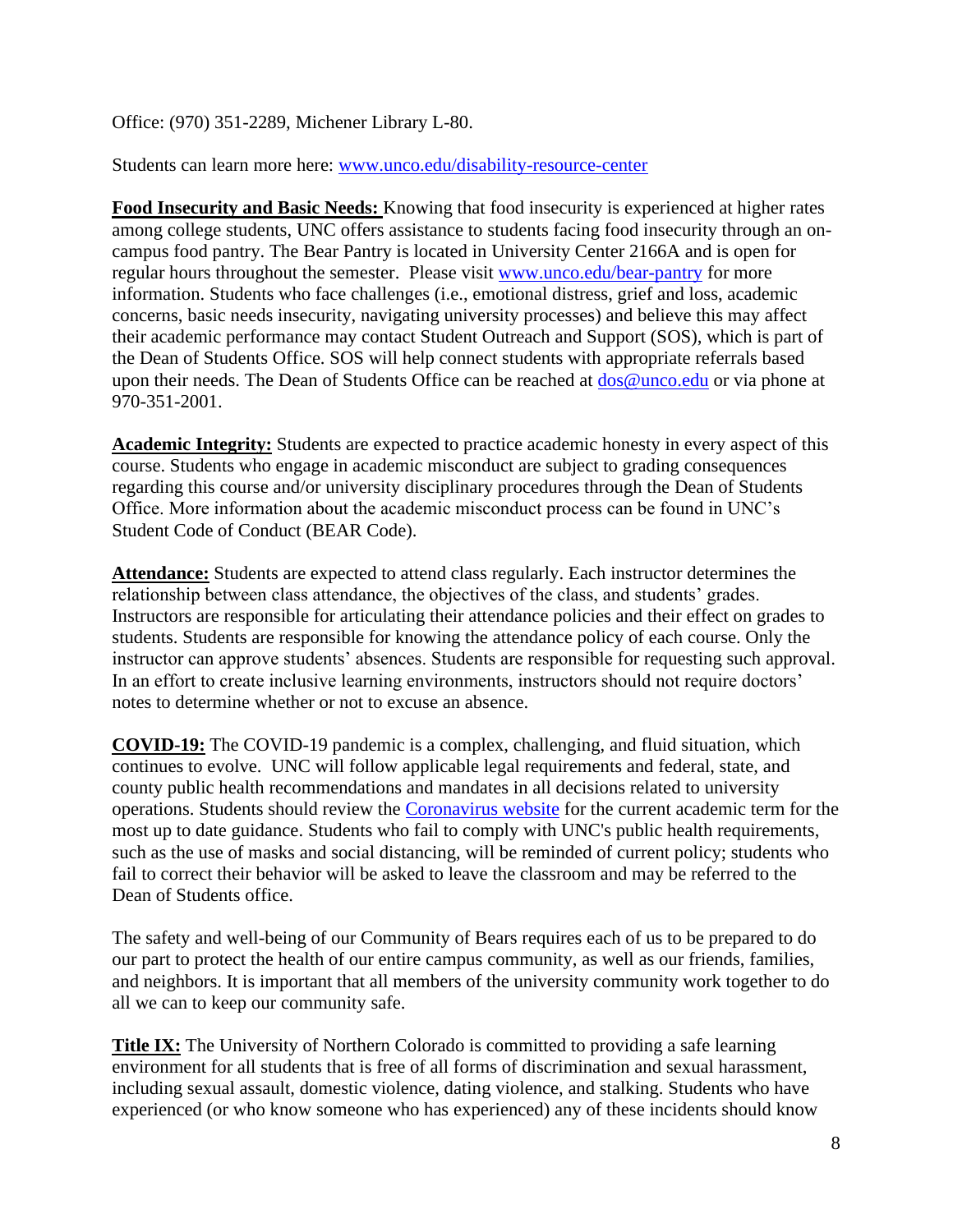Office: (970) 351-2289, Michener Library L-80.

Students can learn more here: [www.unco.edu/disability-resource-center](http://www.unco.edu/disability-resource-center)

**Food Insecurity and Basic Needs:** Knowing that food insecurity is experienced at higher rates among college students, UNC offers assistance to students facing food insecurity through an oncampus food pantry. The Bear Pantry is located in University Center 2166A and is open for regular hours throughout the semester. Please visit [www.unco.edu/bear-pantry](http://www.unco.edu/bear-pantry) for more information. Students who face challenges (i.e., emotional distress, grief and loss, academic concerns, basic needs insecurity, navigating university processes) and believe this may affect their academic performance may contact Student Outreach and Support (SOS), which is part of the Dean of Students Office. SOS will help connect students with appropriate referrals based upon their needs. The Dean of Students Office can be reached at  $\cos\omega$  unco.edu or via phone at 970-351-2001.

**Academic Integrity:** Students are expected to practice academic honesty in every aspect of this course. Students who engage in academic misconduct are subject to grading consequences regarding this course and/or university disciplinary procedures through the Dean of Students Office. More information about the academic misconduct process can be found in UNC's Student Code of Conduct (BEAR Code).

**Attendance:** Students are expected to attend class regularly. Each instructor determines the relationship between class attendance, the objectives of the class, and students' grades. Instructors are responsible for articulating their attendance policies and their effect on grades to students. Students are responsible for knowing the attendance policy of each course. Only the instructor can approve students' absences. Students are responsible for requesting such approval. In an effort to create inclusive learning environments, instructors should not require doctors' notes to determine whether or not to excuse an absence.

**COVID-19:** The COVID-19 pandemic is a complex, challenging, and fluid situation, which continues to evolve. UNC will follow applicable legal requirements and federal, state, and county public health recommendations and mandates in all decisions related to university operations. Students should review the [Coronavirus website](https://www.unco.edu/coronavirus/) for the current academic term for the most up to date guidance. Students who fail to comply with UNC's public health requirements, such as the use of masks and social distancing, will be reminded of current policy; students who fail to correct their behavior will be asked to leave the classroom and may be referred to the Dean of Students office.

The safety and well-being of our Community of Bears requires each of us to be prepared to do our part to protect the health of our entire campus community, as well as our friends, families, and neighbors. It is important that all members of the university community work together to do all we can to keep our community safe.

**Title IX:** The University of Northern Colorado is committed to providing a safe learning environment for all students that is free of all forms of discrimination and sexual harassment, including sexual assault, domestic violence, dating violence, and stalking. Students who have experienced (or who know someone who has experienced) any of these incidents should know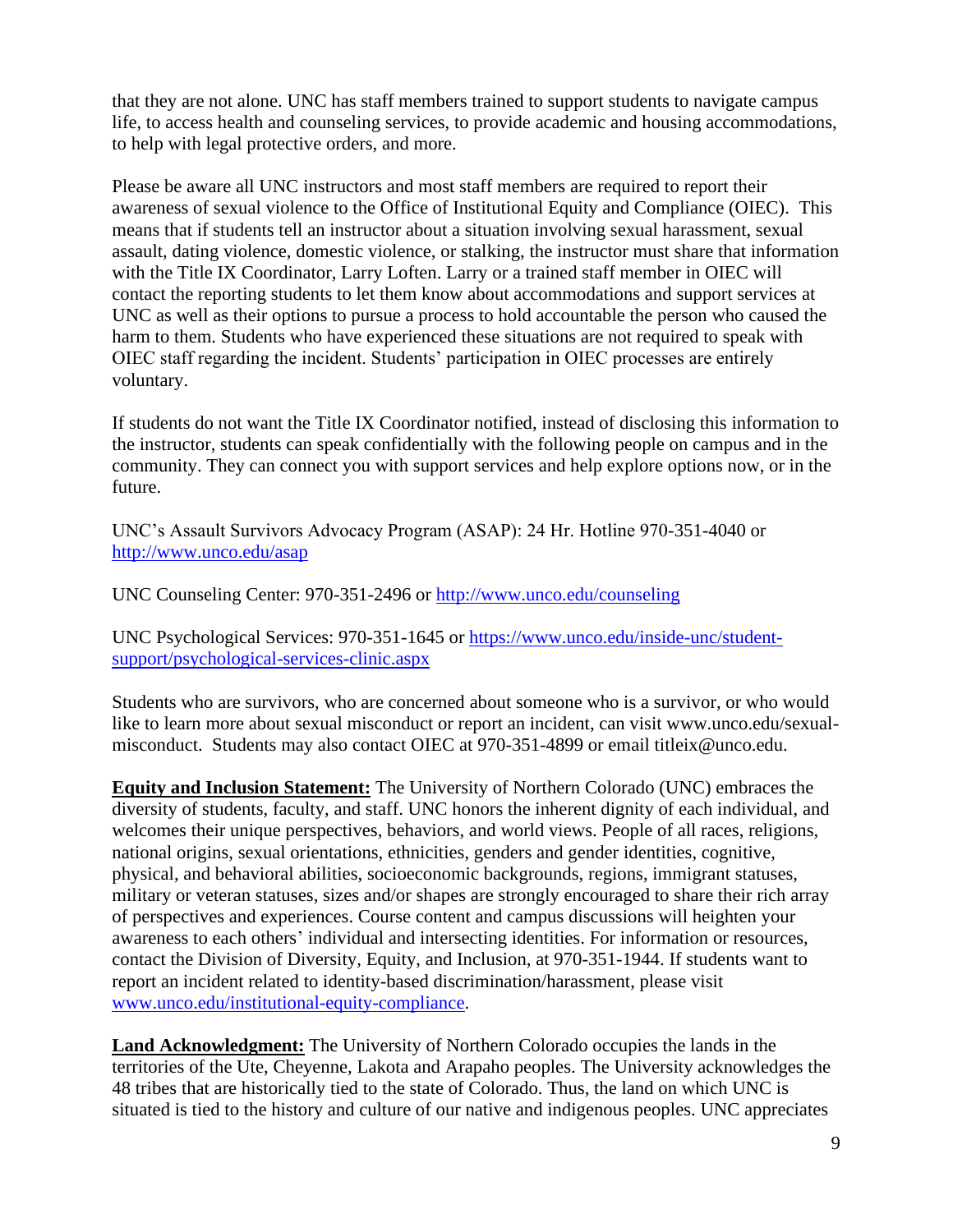that they are not alone. UNC has staff members trained to support students to navigate campus life, to access health and counseling services, to provide academic and housing accommodations, to help with legal protective orders, and more.

Please be aware all UNC instructors and most staff members are required to report their awareness of sexual violence to the Office of Institutional Equity and Compliance (OIEC). This means that if students tell an instructor about a situation involving sexual harassment, sexual assault, dating violence, domestic violence, or stalking, the instructor must share that information with the Title IX Coordinator, Larry Loften. Larry or a trained staff member in OIEC will contact the reporting students to let them know about accommodations and support services at UNC as well as their options to pursue a process to hold accountable the person who caused the harm to them. Students who have experienced these situations are not required to speak with OIEC staff regarding the incident. Students' participation in OIEC processes are entirely voluntary.

If students do not want the Title IX Coordinator notified, instead of disclosing this information to the instructor, students can speak confidentially with the following people on campus and in the community. They can connect you with support services and help explore options now, or in the future.

UNC's Assault Survivors Advocacy Program (ASAP): 24 Hr. Hotline 970-351-4040 or <http://www.unco.edu/asap>

UNC Counseling Center: 970-351-2496 or<http://www.unco.edu/counseling>

UNC Psychological Services: 970-351-1645 or [https://www.unco.edu/inside-unc/student](https://www.unco.edu/inside-unc/student-support/psychological-services-clinic.aspx)[support/psychological-services-clinic.aspx](https://www.unco.edu/inside-unc/student-support/psychological-services-clinic.aspx)

Students who are survivors, who are concerned about someone who is a survivor, or who would like to learn more about sexual misconduct or report an incident, can visit www.unco.edu/sexualmisconduct. Students may also contact OIEC at 970-351-4899 or email titleix@unco.edu.

**Equity and Inclusion Statement:** The University of Northern Colorado (UNC) embraces the diversity of students, faculty, and staff. UNC honors the inherent dignity of each individual, and welcomes their unique perspectives, behaviors, and world views. People of all races, religions, national origins, sexual orientations, ethnicities, genders and gender identities, cognitive, physical, and behavioral abilities, socioeconomic backgrounds, regions, immigrant statuses, military or veteran statuses, sizes and/or shapes are strongly encouraged to share their rich array of perspectives and experiences. Course content and campus discussions will heighten your awareness to each others' individual and intersecting identities. For information or resources, contact the Division of Diversity, Equity, and Inclusion, at 970-351-1944. If students want to report an incident related to identity-based discrimination/harassment, please visit [www.unco.edu/institutional-equity-compliance.](http://www.unco.edu/institutional-equity-compliance)

**Land Acknowledgment:** The University of Northern Colorado occupies the lands in the territories of the Ute, Cheyenne, Lakota and Arapaho peoples. The University acknowledges the 48 tribes that are historically tied to the state of Colorado. Thus, the land on which UNC is situated is tied to the history and culture of our native and indigenous peoples. UNC appreciates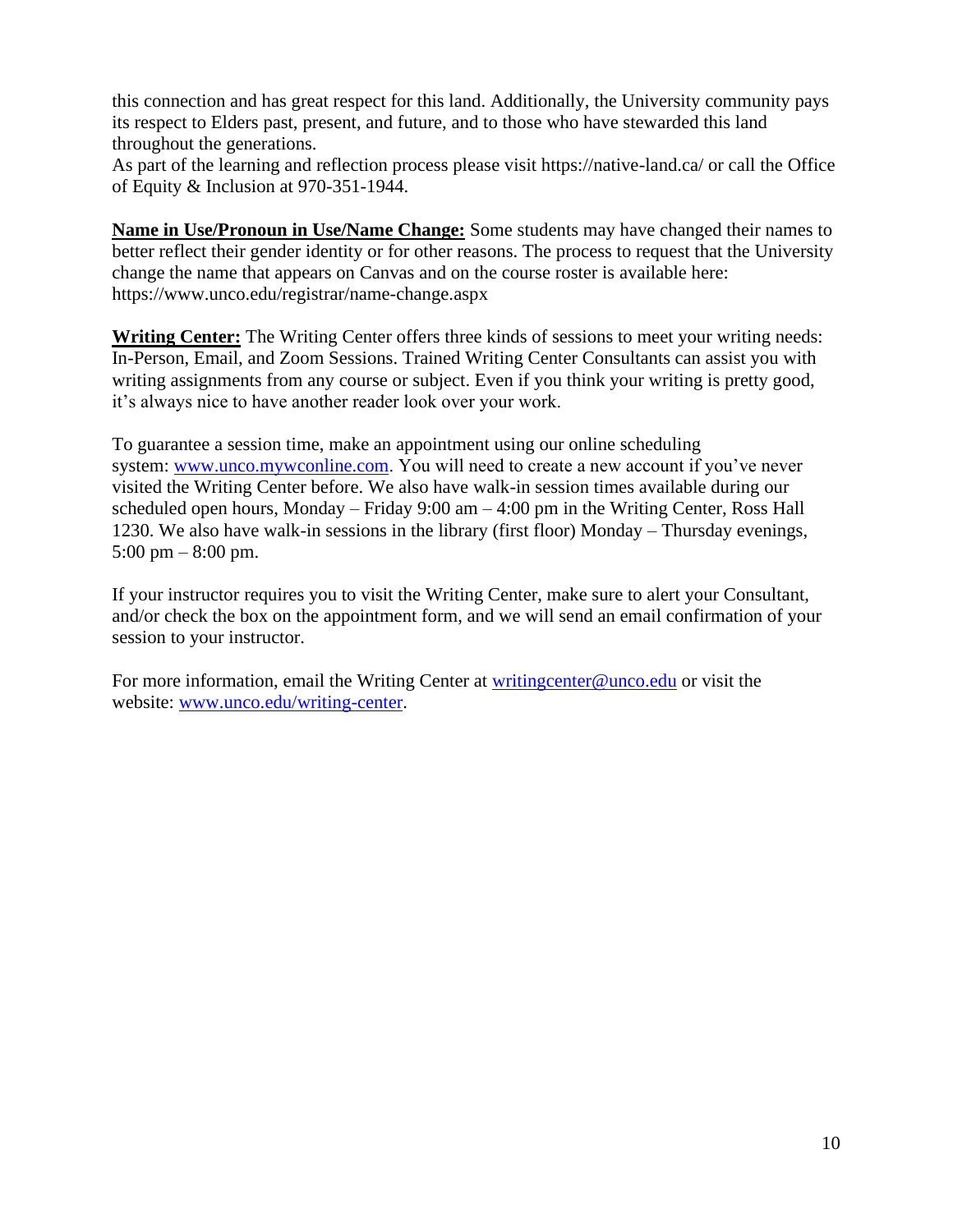this connection and has great respect for this land. Additionally, the University community pays its respect to Elders past, present, and future, and to those who have stewarded this land throughout the generations.

As part of the learning and reflection process please visit https://native-land.ca/ or call the Office of Equity & Inclusion at 970-351-1944.

**Name in Use/Pronoun in Use/Name Change:** Some students may have changed their names to better reflect their gender identity or for other reasons. The process to request that the University change the name that appears on Canvas and on the course roster is available here: https://www.unco.edu/registrar/name-change.aspx

**Writing Center:** The Writing Center offers three kinds of sessions to meet your writing needs: In-Person, Email, and Zoom Sessions. Trained Writing Center Consultants can assist you with writing assignments from any course or subject. Even if you think your writing is pretty good, it's always nice to have another reader look over your work.

To guarantee a session time, make an appointment using our online scheduling system: [www.unco.mywconline.com.](https://nam02.safelinks.protection.outlook.com/?url=http%3A%2F%2Fwww.unco.mywconline.com%2F&data=04%7C01%7CBerniece.Mitchell%40unco.edu%7Cc728eb68b8434bfc344f08d93bded537%7Cb4dce27cd088445499652b59a23ea171%7C0%7C0%7C637606650505382965%7CUnknown%7CTWFpbGZsb3d8eyJWIjoiMC4wLjAwMDAiLCJQIjoiV2luMzIiLCJBTiI6Ik1haWwiLCJXVCI6Mn0%3D%7C1000&sdata=YS2TpcG6WkYo0tV3AQhPnsOinwP9agNZOo55gEMuTVI%3D&reserved=0) You will need to create a new account if you've never visited the Writing Center before. We also have walk-in session times available during our scheduled open hours, Monday – Friday  $9:00 \text{ am} - 4:00 \text{ pm}$  in the Writing Center, Ross Hall 1230. We also have walk-in sessions in the library (first floor) Monday – Thursday evenings, 5:00 pm – 8:00 pm.

If your instructor requires you to visit the Writing Center, make sure to alert your Consultant, and/or check the box on the appointment form, and we will send an email confirmation of your session to your instructor.

For more information, email the Writing Center at writing center@unco.edu or visit the website: [www.unco.edu/writing-center.](http://www.unco.edu/writing-center)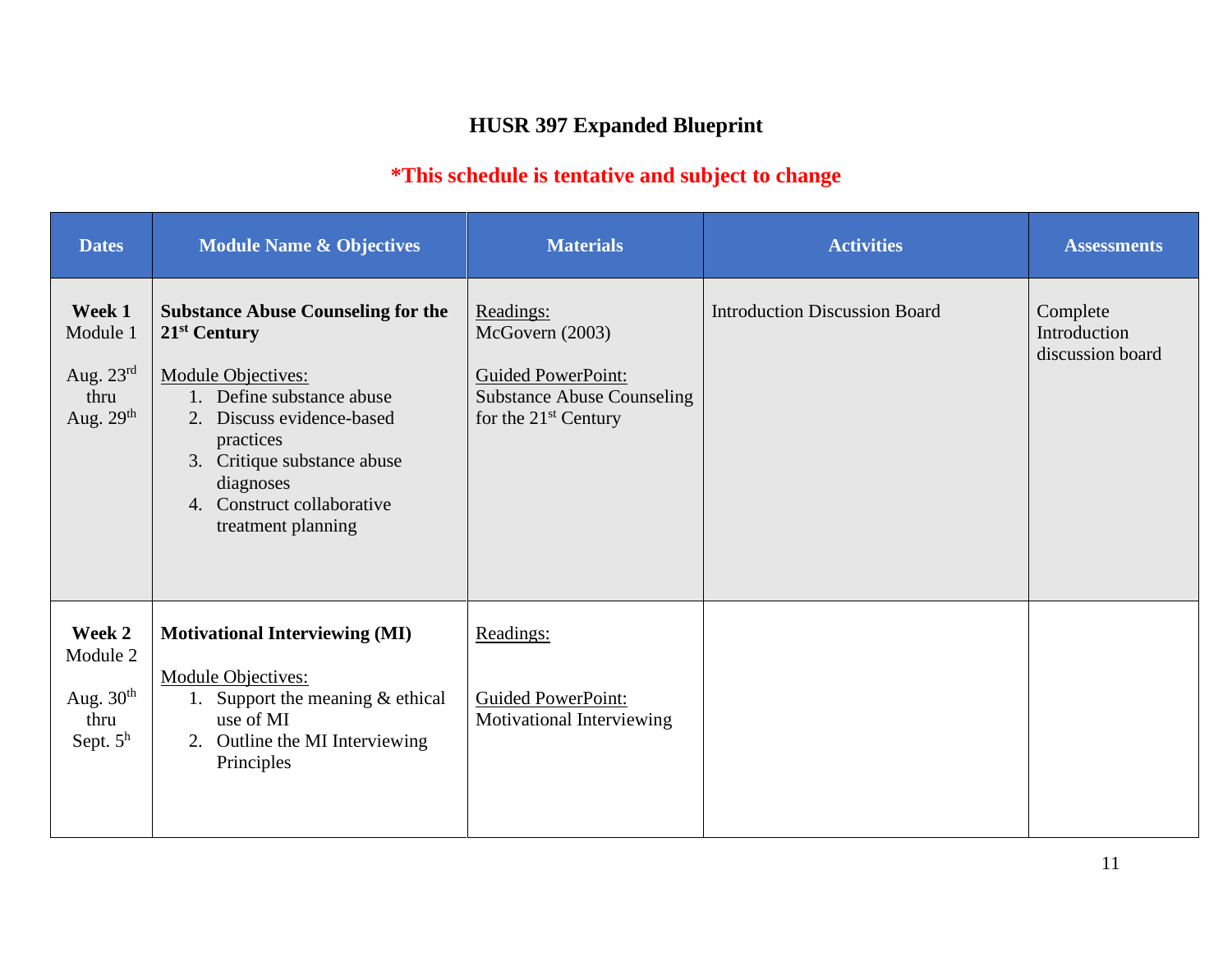# **HUSR 397 Expanded Blueprint**

## **\*This schedule is tentative and subject to change**

| <b>Dates</b>                                                       | <b>Module Name &amp; Objectives</b>                                                                                                                                                                                                                                          | <b>Materials</b>                                                                                                                   | <b>Activities</b>                    | <b>Assessments</b>                           |
|--------------------------------------------------------------------|------------------------------------------------------------------------------------------------------------------------------------------------------------------------------------------------------------------------------------------------------------------------------|------------------------------------------------------------------------------------------------------------------------------------|--------------------------------------|----------------------------------------------|
| Week 1<br>Module 1<br>Aug. $23^{\text{rd}}$<br>thru<br>Aug. $29th$ | <b>Substance Abuse Counseling for the</b><br>21 <sup>st</sup> Century<br><b>Module Objectives:</b><br>1. Define substance abuse<br>Discuss evidence-based<br>2.<br>practices<br>3. Critique substance abuse<br>diagnoses<br>4. Construct collaborative<br>treatment planning | Readings:<br>McGovern (2003)<br><b>Guided PowerPoint:</b><br><b>Substance Abuse Counseling</b><br>for the 21 <sup>st</sup> Century | <b>Introduction Discussion Board</b> | Complete<br>Introduction<br>discussion board |
| Week 2<br>Module 2<br>Aug. $30th$<br>thru<br>Sept. $5h$            | <b>Motivational Interviewing (MI)</b><br><b>Module Objectives:</b><br>Support the meaning $&$ ethical<br>1.<br>use of MI<br>2. Outline the MI Interviewing<br>Principles                                                                                                     | Readings:<br><b>Guided PowerPoint:</b><br>Motivational Interviewing                                                                |                                      |                                              |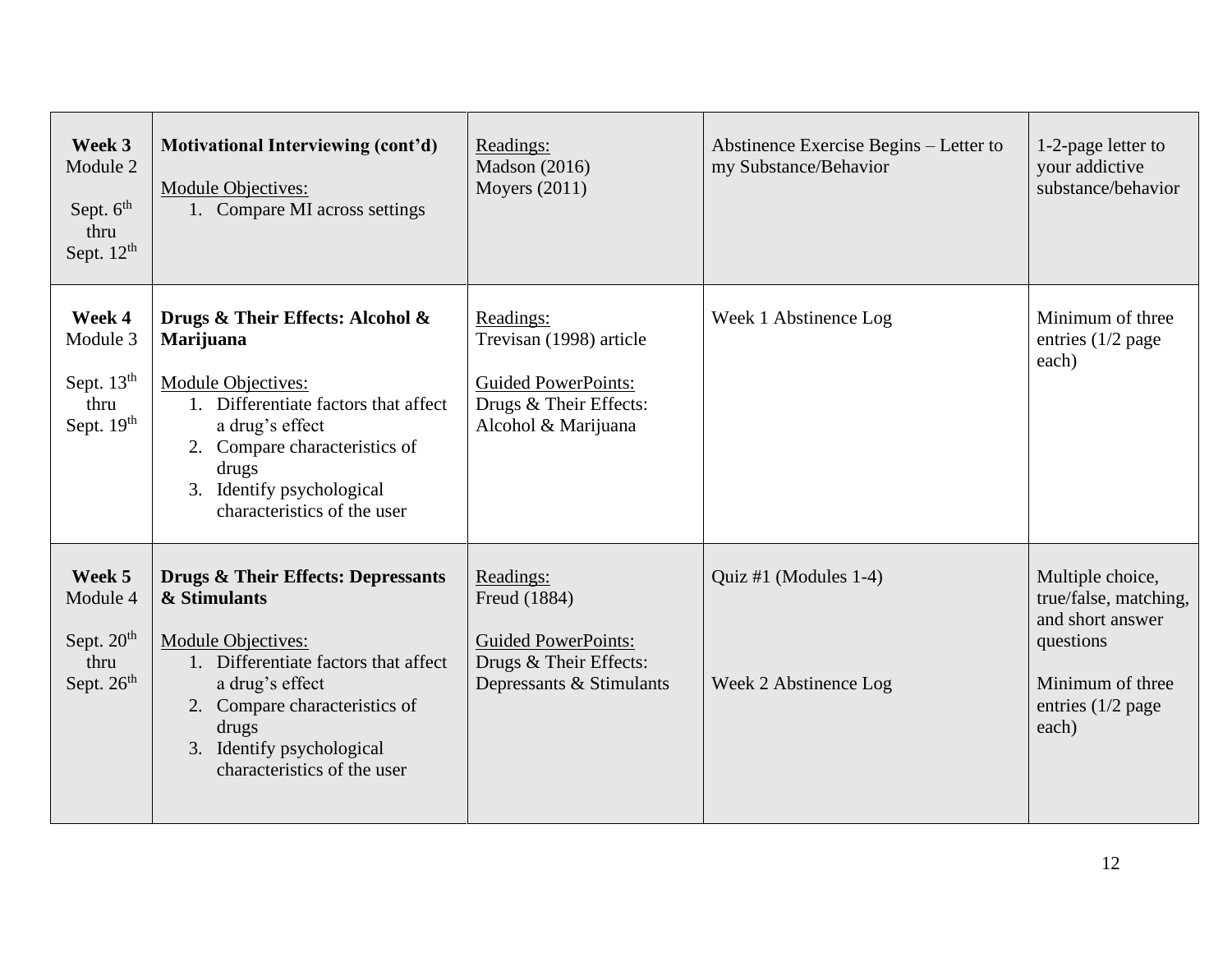| Week 3<br>Module 2<br>Sept. $6th$<br>thru<br>Sept. $12^{th}$         | Motivational Interviewing (cont'd)<br>Module Objectives:<br>1. Compare MI across settings                                                                                                                                                            | Readings:<br><b>Madson</b> (2016)<br>Moyers $(2011)$                                                                | Abstinence Exercise Begins – Letter to<br>my Substance/Behavior | 1-2-page letter to<br>your addictive<br>substance/behavior                                                                     |
|----------------------------------------------------------------------|------------------------------------------------------------------------------------------------------------------------------------------------------------------------------------------------------------------------------------------------------|---------------------------------------------------------------------------------------------------------------------|-----------------------------------------------------------------|--------------------------------------------------------------------------------------------------------------------------------|
| Week 4<br>Module 3<br>Sept. 13 <sup>th</sup><br>thru<br>Sept. $19th$ | Drugs & Their Effects: Alcohol &<br>Marijuana<br>Module Objectives:<br>1. Differentiate factors that affect<br>a drug's effect<br>2. Compare characteristics of<br>drugs<br>3. Identify psychological<br>characteristics of the user                 | Readings:<br>Trevisan (1998) article<br><b>Guided PowerPoints:</b><br>Drugs & Their Effects:<br>Alcohol & Marijuana | Week 1 Abstinence Log                                           | Minimum of three<br>entries $(1/2$ page<br>each)                                                                               |
| Week 5<br>Module 4<br>Sept. $20th$<br>thru<br>Sept. $26th$           | <b>Drugs &amp; Their Effects: Depressants</b><br>& Stimulants<br>Module Objectives:<br>1. Differentiate factors that affect<br>a drug's effect<br>2. Compare characteristics of<br>drugs<br>3. Identify psychological<br>characteristics of the user | Readings:<br>Freud (1884)<br><b>Guided PowerPoints:</b><br>Drugs & Their Effects:<br>Depressants & Stimulants       | Quiz #1 (Modules 1-4)<br>Week 2 Abstinence Log                  | Multiple choice,<br>true/false, matching,<br>and short answer<br>questions<br>Minimum of three<br>entries $(1/2$ page<br>each) |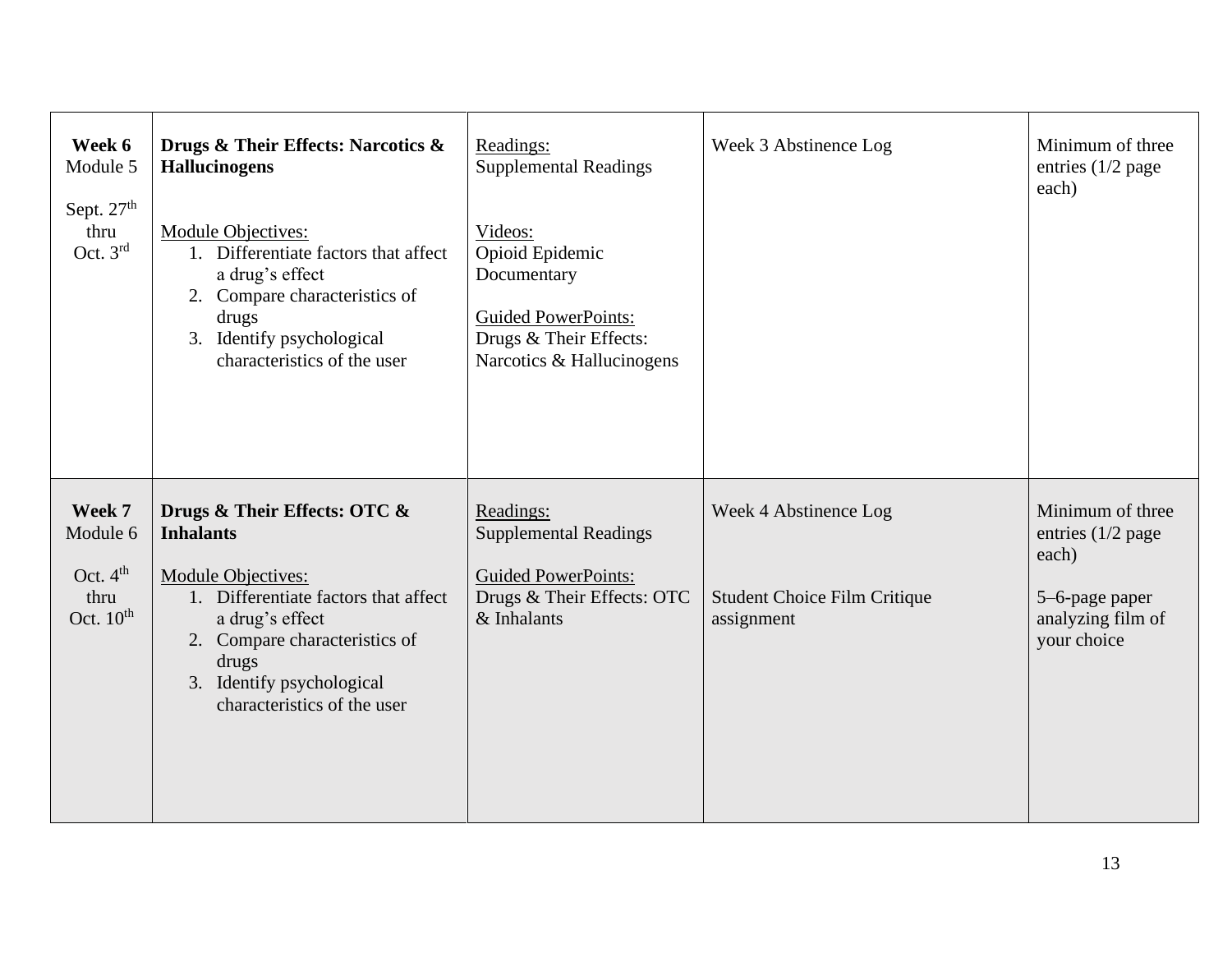| Week 6<br>Module 5<br>Sept. $27th$<br>thru<br>Oct. $3rd$          | Drugs & Their Effects: Narcotics &<br><b>Hallucinogens</b><br>Module Objectives:<br>1. Differentiate factors that affect<br>a drug's effect<br>2. Compare characteristics of<br>drugs<br>3. Identify psychological<br>characteristics of the user | Readings:<br><b>Supplemental Readings</b><br>Videos:<br>Opioid Epidemic<br>Documentary<br><b>Guided PowerPoints:</b><br>Drugs & Their Effects:<br>Narcotics & Hallucinogens | Week 3 Abstinence Log                                                      | Minimum of three<br>entries $(1/2$ page<br>each)                                                       |
|-------------------------------------------------------------------|---------------------------------------------------------------------------------------------------------------------------------------------------------------------------------------------------------------------------------------------------|-----------------------------------------------------------------------------------------------------------------------------------------------------------------------------|----------------------------------------------------------------------------|--------------------------------------------------------------------------------------------------------|
| Week 7<br>Module 6<br>Oct. $4th$<br>thru<br>Oct. $10^{\text{th}}$ | Drugs & Their Effects: OTC &<br><b>Inhalants</b><br>Module Objectives:<br>1. Differentiate factors that affect<br>a drug's effect<br>2. Compare characteristics of<br>drugs<br>3. Identify psychological<br>characteristics of the user           | Readings:<br><b>Supplemental Readings</b><br><b>Guided PowerPoints:</b><br>Drugs & Their Effects: OTC<br>& Inhalants                                                        | Week 4 Abstinence Log<br><b>Student Choice Film Critique</b><br>assignment | Minimum of three<br>entries $(1/2$ page<br>each)<br>5-6-page paper<br>analyzing film of<br>your choice |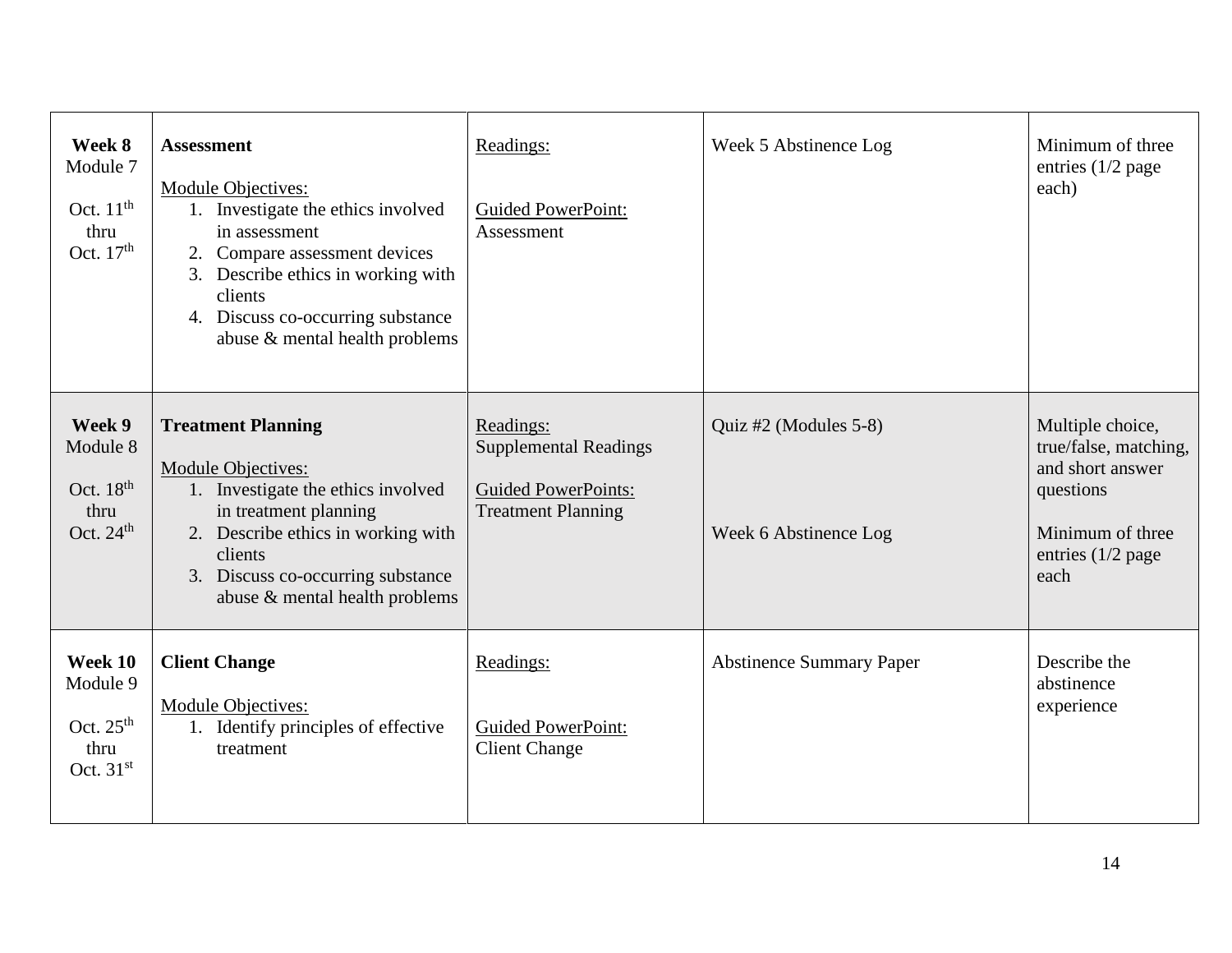| Week 8<br>Module 7<br>Oct. $11th$<br>thru<br>Oct. $17th$  | <b>Assessment</b><br>Module Objectives:<br>Investigate the ethics involved<br>in assessment<br>2. Compare assessment devices<br>3. Describe ethics in working with<br>clients<br>4. Discuss co-occurring substance<br>abuse & mental health problems | Readings:<br><b>Guided PowerPoint:</b><br>Assessment                                                 | Week 5 Abstinence Log                          | Minimum of three<br>entries $(1/2$ page<br>each)                                                                            |
|-----------------------------------------------------------|------------------------------------------------------------------------------------------------------------------------------------------------------------------------------------------------------------------------------------------------------|------------------------------------------------------------------------------------------------------|------------------------------------------------|-----------------------------------------------------------------------------------------------------------------------------|
| Week 9<br>Module 8<br>Oct. $18th$<br>thru<br>Oct. $24th$  | <b>Treatment Planning</b><br>Module Objectives:<br>1. Investigate the ethics involved<br>in treatment planning<br>2. Describe ethics in working with<br>clients<br>3. Discuss co-occurring substance<br>abuse & mental health problems               | Readings:<br><b>Supplemental Readings</b><br><b>Guided PowerPoints:</b><br><b>Treatment Planning</b> | Quiz #2 (Modules 5-8)<br>Week 6 Abstinence Log | Multiple choice,<br>true/false, matching,<br>and short answer<br>questions<br>Minimum of three<br>entries (1/2 page<br>each |
| Week 10<br>Module 9<br>Oct. $25th$<br>thru<br>Oct. $31st$ | <b>Client Change</b><br>Module Objectives:<br>1. Identify principles of effective<br>treatment                                                                                                                                                       | Readings:<br><b>Guided PowerPoint:</b><br><b>Client Change</b>                                       | <b>Abstinence Summary Paper</b>                | Describe the<br>abstinence<br>experience                                                                                    |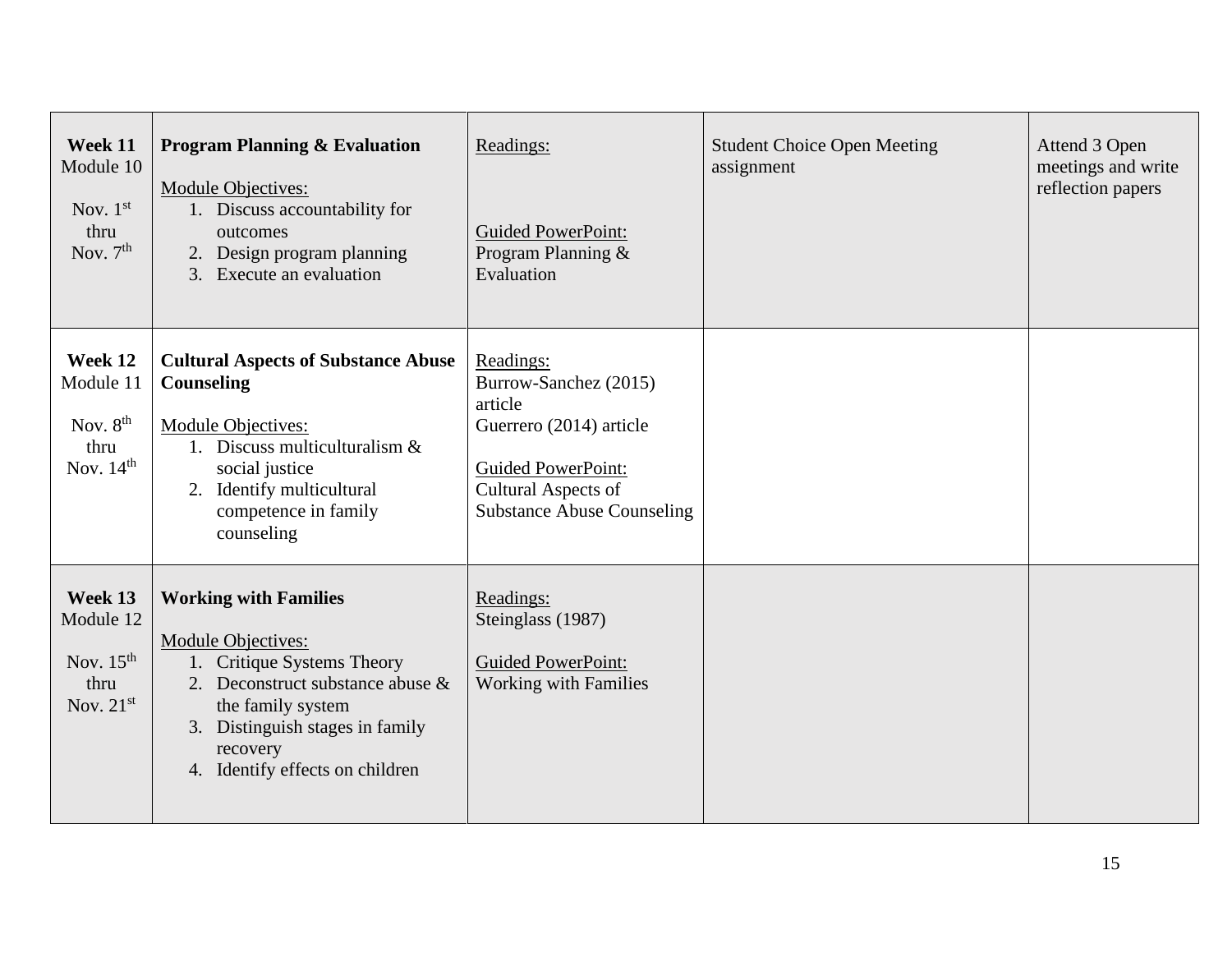| Week 11<br>Module 10<br>Nov. $1st$<br>thru<br>Nov. $7th$      | <b>Program Planning &amp; Evaluation</b><br>Module Objectives:<br>1. Discuss accountability for<br>outcomes<br>2. Design program planning<br>3. Execute an evaluation                                                              | Readings:<br><b>Guided PowerPoint:</b><br>Program Planning &<br>Evaluation                                                                                        | <b>Student Choice Open Meeting</b><br>assignment | Attend 3 Open<br>meetings and write<br>reflection papers |
|---------------------------------------------------------------|------------------------------------------------------------------------------------------------------------------------------------------------------------------------------------------------------------------------------------|-------------------------------------------------------------------------------------------------------------------------------------------------------------------|--------------------------------------------------|----------------------------------------------------------|
| Week 12<br>Module 11<br>Nov. $8th$<br>thru<br>Nov. $14th$     | <b>Cultural Aspects of Substance Abuse</b><br><b>Counseling</b><br>Module Objectives:<br>1. Discuss multiculturalism $\&$<br>social justice<br>2. Identify multicultural<br>competence in family<br>counseling                     | Readings:<br>Burrow-Sanchez (2015)<br>article<br>Guerrero (2014) article<br><b>Guided PowerPoint:</b><br>Cultural Aspects of<br><b>Substance Abuse Counseling</b> |                                                  |                                                          |
| Week 13<br>Module 12<br>Nov. $15th$<br>thru<br>Nov. $21^{st}$ | <b>Working with Families</b><br><b>Module Objectives:</b><br>1. Critique Systems Theory<br>2. Deconstruct substance abuse &<br>the family system<br>3. Distinguish stages in family<br>recovery<br>4. Identify effects on children | Readings:<br>Steinglass (1987)<br><b>Guided PowerPoint:</b><br><b>Working with Families</b>                                                                       |                                                  |                                                          |